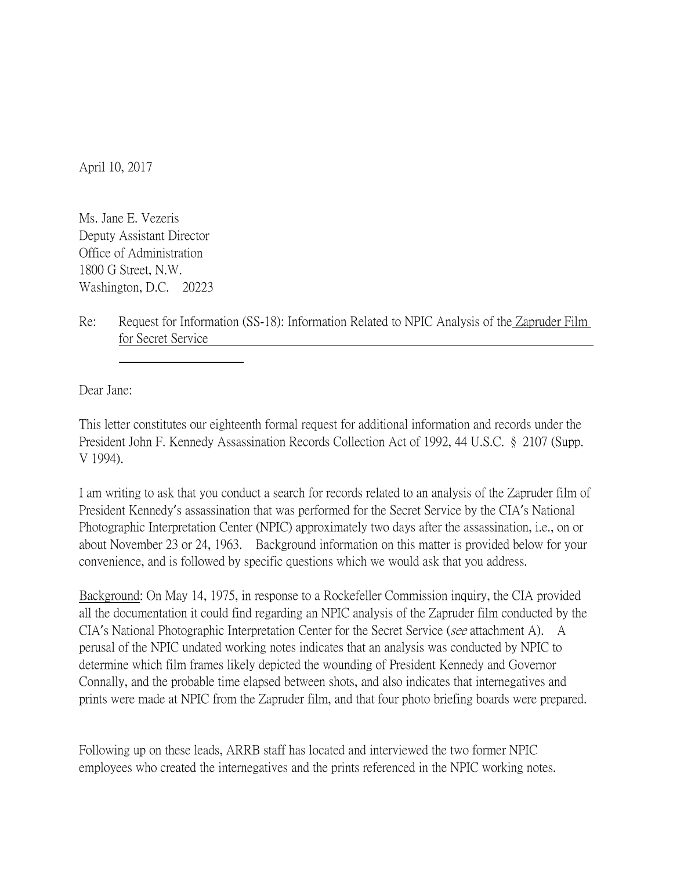April 10, 2017

Ms. Jane E. Vezeris Deputy Assistant Director Office of Administration 1800 G Street, N.W. Washington, D.C. 20223

Re: Request for Information (SS-18): Information Related to NPIC Analysis of the Zapruder Film for Secret Service

Dear Jane:

This letter constitutes our eighteenth formal request for additional information and records under the President John F. Kennedy Assassination Records Collection Act of 1992, 44 U.S.C. § 2107 (Supp. V 1994).

I am writing to ask that you conduct a search for records related to an analysis of the Zapruder film of President Kennedy's assassination that was performed for the Secret Service by the CIA's National Photographic Interpretation Center (NPIC) approximately two days after the assassination, i.e., on or about November 23 or 24, 1963. Background information on this matter is provided below for your convenience, and is followed by specific questions which we would ask that you address.

Background: On May 14, 1975, in response to a Rockefeller Commission inquiry, the CIA provided all the documentation it could find regarding an NPIC analysis of the Zapruder film conducted by the CIA's National Photographic Interpretation Center for the Secret Service (see attachment A). A perusal of the NPIC undated working notes indicates that an analysis was conducted by NPIC to determine which film frames likely depicted the wounding of President Kennedy and Governor Connally, and the probable time elapsed between shots, and also indicates that internegatives and prints were made at NPIC from the Zapruder film, and that four photo briefing boards were prepared.

Following up on these leads, ARRB staff has located and interviewed the two former NPIC employees who created the internegatives and the prints referenced in the NPIC working notes.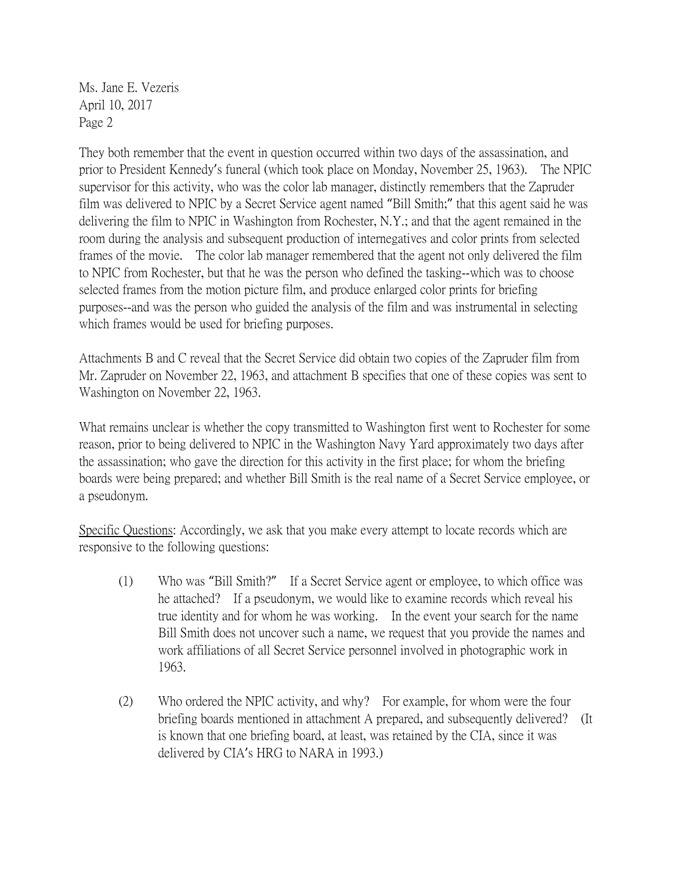Ms. Jane E. Vezeris April 10, 2017 Page 2

They both remember that the event in question occurred within two days of the assassination, and prior to President Kennedy's funeral (which took place on Monday, November 25, 1963). The NPIC supervisor for this activity, who was the color lab manager, distinctly remembers that the Zapruder film was delivered to NPIC by a Secret Service agent named "Bill Smith;" that this agent said he was delivering the film to NPIC in Washington from Rochester, N.Y.; and that the agent remained in the room during the analysis and subsequent production of internegatives and color prints from selected frames of the movie. The color lab manager remembered that the agent not only delivered the film to NPIC from Rochester, but that he was the person who defined the tasking--which was to choose selected frames from the motion picture film, and produce enlarged color prints for briefing purposes--and was the person who guided the analysis of the film and was instrumental in selecting which frames would be used for briefing purposes.

Attachments B and C reveal that the Secret Service did obtain two copies of the Zapruder film from Mr. Zapruder on November 22, 1963, and attachment B specifies that one of these copies was sent to Washington on November 22, 1963.

What remains unclear is whether the copy transmitted to Washington first went to Rochester for some reason, prior to being delivered to NPIC in the Washington Navy Yard approximately two days after the assassination; who gave the direction for this activity in the first place; for whom the briefing boards were being prepared; and whether Bill Smith is the real name of a Secret Service employee, or a pseudonym.

Specific Questions: Accordingly, we ask that you make every attempt to locate records which are responsive to the following questions:

- (1) Who was "Bill Smith?" If a Secret Service agent or employee, to which office was he attached? If a pseudonym, we would like to examine records which reveal his true identity and for whom he was working. In the event your search for the name Bill Smith does not uncover such a name, we request that you provide the names and work affiliations of all Secret Service personnel involved in photographic work in 1963.
- (2) Who ordered the NPIC activity, and why? For example, for whom were the four briefing boards mentioned in attachment A prepared, and subsequently delivered? (It is known that one briefing board, at least, was retained by the CIA, since it was delivered by CIA's HRG to NARA in 1993.)